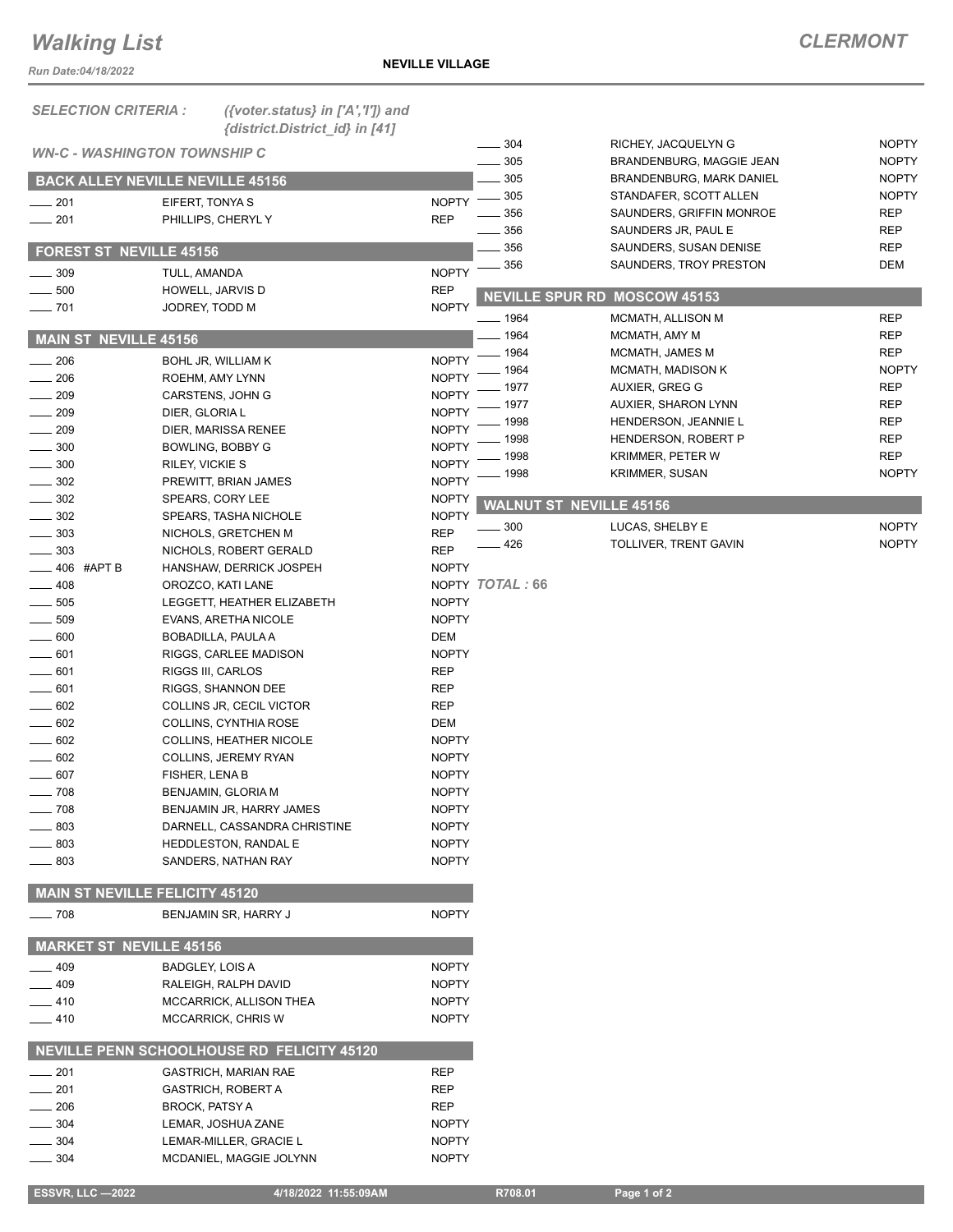## *Walking List*

*Run Date:04/18/2022*

| <b>SELECTION CRITERIA:</b>     | ({voter.status} in ['A','I']) and                 |                              |                 |                                     |                          |
|--------------------------------|---------------------------------------------------|------------------------------|-----------------|-------------------------------------|--------------------------|
|                                | {district.District_id} in [41]                    |                              | 304             | RICHEY, JACQUELYN G                 | <b>NOPTY</b>             |
|                                | <b>WN-C - WASHINGTON TOWNSHIP C</b>               |                              | 305             | BRANDENBURG, MAGGIE JEAN            | <b>NOPTY</b>             |
|                                | <b>BACK ALLEY NEVILLE NEVILLE 45156</b>           |                              | 305             | BRANDENBURG, MARK DANIEL            | <b>NOPTY</b>             |
| $-201$                         | EIFERT, TONYA S                                   | <b>NOPTY</b>                 | 305             | STANDAFER, SCOTT ALLEN              | <b>NOPTY</b>             |
| 201                            | PHILLIPS, CHERYLY                                 | <b>REP</b>                   | 356             | SAUNDERS, GRIFFIN MONROE            | <b>REP</b>               |
|                                |                                                   |                              | 356             | SAUNDERS JR, PAUL E                 | <b>REP</b>               |
| FOREST ST NEVILLE 45156        |                                                   |                              | 356<br>356      | SAUNDERS, SUSAN DENISE              | <b>REP</b><br><b>DEM</b> |
| 309                            | TULL, AMANDA                                      | <b>NOPTY</b>                 |                 | SAUNDERS, TROY PRESTON              |                          |
| 500                            | HOWELL, JARVIS D                                  | <b>REP</b>                   |                 | <b>NEVILLE SPUR RD MOSCOW 45153</b> |                          |
| $- 701$                        | JODREY, TODD M                                    | <b>NOPTY</b>                 | $- 1964$        | MCMATH, ALLISON M                   | <b>REP</b>               |
| <b>MAIN ST NEVILLE 45156</b>   |                                                   |                              | 1964            | MCMATH, AMY M                       | <b>REP</b>               |
|                                |                                                   |                              | 1964            | MCMATH, JAMES M                     | <b>REP</b>               |
| 206                            | <b>BOHL JR, WILLIAM K</b>                         | <b>NOPTY</b>                 | 1964            | MCMATH, MADISON K                   | <b>NOPTY</b>             |
| 206<br>209                     | ROEHM, AMY LYNN<br>CARSTENS, JOHN G               | <b>NOPTY</b><br><b>NOPTY</b> | 1977            | AUXIER, GREG G                      | <b>REP</b>               |
| 209                            | DIER, GLORIA L                                    | <b>NOPTY</b>                 | 1977            | <b>AUXIER, SHARON LYNN</b>          | <b>REP</b>               |
| 209                            | DIER, MARISSA RENEE                               | <b>NOPTY</b>                 | 1998            | HENDERSON, JEANNIE L                | <b>REP</b>               |
| 300                            | BOWLING, BOBBY G                                  | <b>NOPTY</b>                 | 1998            | HENDERSON, ROBERT P                 | <b>REP</b>               |
| 300                            | RILEY, VICKIE S                                   | <b>NOPTY</b>                 | 1998            | <b>KRIMMER, PETER W</b>             | <b>REP</b>               |
| 302                            | PREWITT, BRIAN JAMES                              | <b>NOPTY</b>                 | 1998            | <b>KRIMMER, SUSAN</b>               | <b>NOPTY</b>             |
| 302                            | SPEARS, CORY LEE                                  | <b>NOPTY</b>                 |                 | <b>WALNUT ST NEVILLE 45156</b>      |                          |
| 302                            | SPEARS, TASHA NICHOLE                             | <b>NOPTY</b>                 |                 |                                     |                          |
| 303                            | NICHOLS, GRETCHEN M                               | <b>REP</b>                   | 300             | LUCAS, SHELBY E                     | <b>NOPTY</b>             |
| 303                            | NICHOLS, ROBERT GERALD                            | <b>REP</b>                   | 426             | TOLLIVER, TRENT GAVIN               | <b>NOPTY</b>             |
| 406 #APT B                     | HANSHAW, DERRICK JOSPEH                           | <b>NOPTY</b>                 |                 |                                     |                          |
| 408                            | OROZCO, KATI LANE                                 |                              | NOPTY TOTAL: 66 |                                     |                          |
| 505                            | LEGGETT, HEATHER ELIZABETH                        | <b>NOPTY</b>                 |                 |                                     |                          |
| 509                            | EVANS, ARETHA NICOLE                              | <b>NOPTY</b>                 |                 |                                     |                          |
| 600                            | BOBADILLA, PAULA A                                | DEM                          |                 |                                     |                          |
| 601                            | RIGGS, CARLEE MADISON                             | <b>NOPTY</b>                 |                 |                                     |                          |
| 601<br>601                     | <b>RIGGS III, CARLOS</b><br>RIGGS, SHANNON DEE    | <b>REP</b><br><b>REP</b>     |                 |                                     |                          |
| 602                            | COLLINS JR, CECIL VICTOR                          | <b>REP</b>                   |                 |                                     |                          |
| 602                            | COLLINS, CYNTHIA ROSE                             | DEM                          |                 |                                     |                          |
| 602                            | <b>COLLINS, HEATHER NICOLE</b>                    | <b>NOPTY</b>                 |                 |                                     |                          |
| 602                            | COLLINS, JEREMY RYAN                              | <b>NOPTY</b>                 |                 |                                     |                          |
| 607                            | FISHER, LENA B                                    | <b>NOPTY</b>                 |                 |                                     |                          |
| $-708$                         | BENJAMIN, GLORIA M                                | <b>NOPTY</b>                 |                 |                                     |                          |
| 708                            | BENJAMIN JR, HARRY JAMES                          | <b>NOPTY</b>                 |                 |                                     |                          |
| 803                            | DARNELL, CASSANDRA CHRISTINE                      | <b>NOPTY</b>                 |                 |                                     |                          |
| 803                            | HEDDLESTON, RANDAL E                              | <b>NOPTY</b>                 |                 |                                     |                          |
| $- 803$                        | SANDERS, NATHAN RAY                               | <b>NOPTY</b>                 |                 |                                     |                          |
|                                |                                                   |                              |                 |                                     |                          |
|                                | <b>MAIN ST NEVILLE FELICITY 45120</b>             |                              |                 |                                     |                          |
| $\frac{1}{2}$ 708              | BENJAMIN SR, HARRY J                              | <b>NOPTY</b>                 |                 |                                     |                          |
| <b>MARKET ST NEVILLE 45156</b> |                                                   |                              |                 |                                     |                          |
| 409                            | BADGLEY, LOIS A                                   | <b>NOPTY</b>                 |                 |                                     |                          |
| — 409                          | RALEIGH, RALPH DAVID                              | <b>NOPTY</b>                 |                 |                                     |                          |
| $-410$                         | MCCARRICK, ALLISON THEA                           | <b>NOPTY</b>                 |                 |                                     |                          |
| $-410$                         | MCCARRICK, CHRIS W                                | <b>NOPTY</b>                 |                 |                                     |                          |
|                                | NEVILLE PENN SCHOOLHOUSE RD FELICITY 45120        |                              |                 |                                     |                          |
| $=201$                         | <b>GASTRICH, MARIAN RAE</b>                       | <b>REP</b>                   |                 |                                     |                          |
| 201                            | <b>GASTRICH, ROBERT A</b>                         | REP                          |                 |                                     |                          |
| 206                            | <b>BROCK, PATSY A</b>                             | REP                          |                 |                                     |                          |
| 304                            | LEMAR, JOSHUA ZANE                                | <b>NOPTY</b>                 |                 |                                     |                          |
| - 304<br>304                   | LEMAR-MILLER, GRACIE L<br>MCDANIEL, MAGGIE JOLYNN | <b>NOPTY</b><br><b>NOPTY</b> |                 |                                     |                          |
|                                |                                                   |                              |                 |                                     |                          |